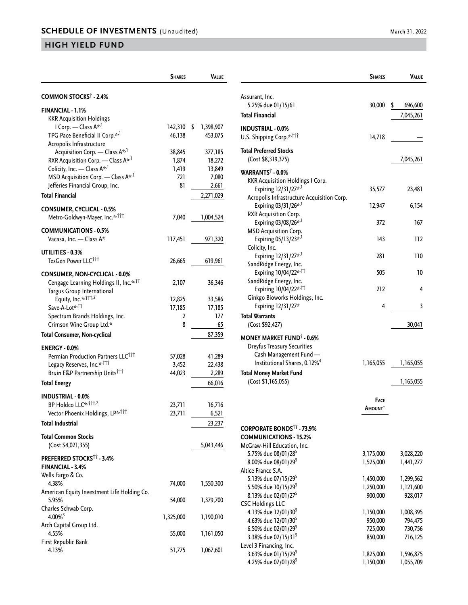|                                                                                | <b>SHARES</b> | Value           |
|--------------------------------------------------------------------------------|---------------|-----------------|
| COMMON STOCKS <sup>†</sup> - 2.4%                                              |               |                 |
| <b>FINANCIAL - 1.1%</b>                                                        |               |                 |
| <b>KKR Acquisition Holdings</b>                                                |               |                 |
| I Corp. - Class A* <sup>,1</sup>                                               | 142,310       | \$<br>1,398,907 |
| TPG Pace Beneficial II Corp.* <sup>, 1</sup>                                   | 46,138        | 453,075         |
| Acropolis Infrastructure                                                       |               |                 |
| Acquisition Corp. - Class A <sup>*,1</sup>                                     | 38,845        | 377,185         |
| RXR Acquisition Corp. - Class A*,1                                             | 1,874         | 18,272          |
| Colicity, Inc. - Class A* <sup>,1</sup>                                        | 1,419         | 13,849          |
| MSD Acquisition Corp. - Class A* <sup>1</sup>                                  | 721           | 7,080           |
| Jefferies Financial Group, Inc.                                                | 81            | 2,661           |
| <b>Total Financial</b>                                                         |               | 2,271,029       |
|                                                                                |               |                 |
| <b>CONSUMER, CYCLICAL - 0.5%</b><br>Metro-Goldwyn-Mayer, Inc.** <sup>†††</sup> | 7,040         | 1,004,524       |
|                                                                                |               |                 |
| <b>COMMUNICATIONS - 0.5%</b>                                                   |               |                 |
| Vacasa, Inc. - Class A*                                                        | 117,451       | 971,320         |
| UTILITIES - 0.3%                                                               |               |                 |
| TexGen Power LLC <sup>†††</sup>                                                | 26,665        | 619,961         |
| <b>CONSUMER, NON-CYCLICAL - 0.0%</b>                                           |               |                 |
| Cengage Learning Holdings II, Inc.* <sup>,11</sup>                             | 2,107         | 36,346          |
| Targus Group International                                                     |               |                 |
| Equity, Inc.* <sup>,111,2</sup>                                                | 12,825        | 33,586          |
| Save-A-Lot* <sup>,††</sup>                                                     | 17,185        | 17,185          |
| Spectrum Brands Holdings, Inc.                                                 | 2             | 177             |
| Crimson Wine Group Ltd.*                                                       | 8             | 65              |
| Total Consumer, Non-cyclical                                                   |               | 87,359          |
| <b>ENERGY - 0.0%</b>                                                           |               |                 |
| Permian Production Partners LLC <sup>†††</sup>                                 | 57,028        | 41,289          |
| Legacy Reserves, Inc.* <sup>,†††</sup>                                         | 3,452         |                 |
| Bruin E&P Partnership Units <sup>†††</sup>                                     | 44,023        | 22,438          |
|                                                                                |               | 2,289           |
| <b>Total Energy</b>                                                            |               | 66,016          |
| <b>INDUSTRIAL - 0.0%</b>                                                       |               |                 |
| BP Holdco LLC*, 111,2                                                          | 23,711        | 16,716          |
| Vector Phoenix Holdings, LP*****                                               | 23,711        | 6,521           |
| <b>Total Industrial</b>                                                        |               | 23,237          |
| <b>Total Common Stocks</b>                                                     |               |                 |
| (Cost \$4,021,355)                                                             |               | 5,043,446       |
| PREFERRED STOCKS <sup>11</sup> - 3.4%                                          |               |                 |
| FINANCIAL - 3.4%                                                               |               |                 |
| Wells Fargo & Co.                                                              |               |                 |
| 4.38%                                                                          | 74,000        | 1,550,300       |
| American Equity Investment Life Holding Co.                                    |               |                 |
| 5.95%                                                                          | 54,000        | 1,379,700       |
| Charles Schwab Corp.                                                           |               |                 |
| $4.00\%$ <sup>3</sup>                                                          | 1,325,000     | 1,190,010       |
| Arch Capital Group Ltd.                                                        |               |                 |
| 4.55%                                                                          | 55,000        | 1,161,050       |
| First Republic Bank                                                            |               |                 |
| 4.13%                                                                          | 51,775        | 1,067,601       |

|                                                                                 | <b>SHARES</b>          | Value                      |
|---------------------------------------------------------------------------------|------------------------|----------------------------|
| Assurant, Inc.                                                                  |                        |                            |
| 5.25% due 01/15/61<br><b>Total Financial</b>                                    | 30,000                 | \$<br>696,600<br>7,045,261 |
| <b>INDUSTRIAL - 0.0%</b>                                                        |                        |                            |
| U.S. Shipping Corp.* <sup>111</sup>                                             | 14,718                 |                            |
| <b>Total Preferred Stocks</b><br>(Cost \$8,319,375)                             |                        | 7,045,261                  |
| WARRANTS <sup>†</sup> - 0.0%                                                    |                        |                            |
| <b>KKR Acquisition Holdings I Corp.</b><br>Expiring 12/31/27* <sup>,1</sup>     | 35,577                 | 23,481                     |
| Acropolis Infrastructure Acquisition Corp.<br>Expiring 03/31/26 <sup>**,1</sup> | 12,947                 | 6,154                      |
| RXR Acquisition Corp.                                                           |                        |                            |
| Expiring 03/08/26* <sup>,1</sup><br><b>MSD Acquisition Corp.</b>                | 372                    | 167                        |
| Expiring 05/13/23 <sup>**,1</sup><br>Colicity, Inc.                             | 143                    | 112                        |
| Expiring 12/31/27* <sup>,1</sup>                                                | 281                    | 110                        |
| SandRidge Energy, Inc.<br>Expiring 10/04/22* <sup>,††</sup>                     | 505                    | 10                         |
| SandRidge Energy, Inc.<br>Expiring 10/04/22* <sup>11</sup>                      | 212                    | 4                          |
| Ginkgo Bioworks Holdings, Inc.                                                  |                        |                            |
| Expiring 12/31/27*<br>Total Warrants                                            | 4                      | 3                          |
| (Cost \$92,427)                                                                 |                        | 30,041                     |
| <b>MONEY MARKET FUND<sup>†</sup> - 0.6%</b>                                     |                        |                            |
| Dreyfus Treasury Securities<br>Cash Management Fund -                           |                        |                            |
| Institutional Shares, 0.12% <sup>4</sup>                                        | 1,165,055              | 1,165,055                  |
| <b>Total Money Market Fund</b>                                                  |                        |                            |
| (Cost \$1,165,055)                                                              |                        | 1,165,055                  |
|                                                                                 | <b>FACE</b><br>Amount~ |                            |
| <b>CORPORATE BONDS<sup>11</sup> - 73.9%</b>                                     |                        |                            |
| <b>COMMUNICATIONS - 15.2%</b>                                                   |                        |                            |
| McGraw-Hill Education, Inc.                                                     |                        |                            |
| 5.75% due 08/01/28 <sup>5</sup>                                                 | 3,175,000              | 3,028,220                  |
| 8.00% due 08/01/29 <sup>5</sup>                                                 | 1,525,000              | 1,441,277                  |
| Altice France S.A.                                                              |                        |                            |
| 5.13% due 07/15/29 <sup>5</sup>                                                 | 1,450,000              | 1,299,562                  |
| 5.50% due 10/15/29 <sup>5</sup><br>8.13% due 02/01/27 <sup>5</sup>              | 1,250,000<br>900,000   | 1,121,600<br>928,017       |
| <b>CSC Holdings LLC</b>                                                         |                        |                            |
| 4.13% due 12/01/30 <sup>5</sup>                                                 | 1,150,000              | 1,008,395                  |
| 4.63% due 12/01/30 <sup>5</sup>                                                 | 950,000                | 794,475                    |
| 6.50% due 02/01/29 <sup>5</sup>                                                 | 725,000                | 730,756                    |
| 3.38% due 02/15/31 <sup>5</sup>                                                 | 850,000                | 716,125                    |
| Level 3 Financing, Inc.                                                         |                        |                            |

3.63% due 01/15/295 1,825,000 1,596,875 4.25% due 07/01/285 1,150,000 1,055,709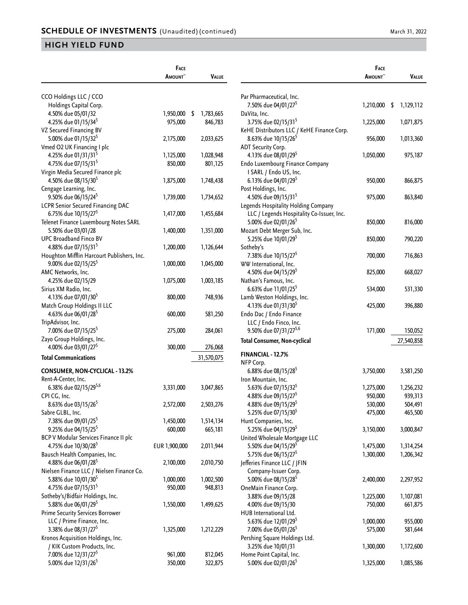|                                                                | Face               |                    |
|----------------------------------------------------------------|--------------------|--------------------|
|                                                                | <b>AMOUNT</b>      | VALUE              |
|                                                                |                    |                    |
| CCO Holdings LLC / CCO                                         |                    |                    |
| Holdings Capital Corp.                                         |                    |                    |
| 4.50% due 05/01/32                                             | 1,950,000          | \$<br>1,783,665    |
| 4.25% due 01/15/34 <sup>5</sup>                                | 975,000            | 846,783            |
| VZ Secured Financing BV                                        |                    |                    |
| 5.00% due 01/15/32 <sup>5</sup>                                | 2,175,000          | 2,033,625          |
| Vmed O2 UK Financing I plc                                     |                    |                    |
| 4.25% due 01/31/31 <sup>5</sup>                                | 1,125,000          | 1,028,948          |
| 4.75% due 07/15/31 <sup>5</sup>                                | 850,000            | 801,125            |
| Virgin Media Secured Finance plc                               |                    |                    |
| 4.50% due 08/15/30 <sup>5</sup>                                | 1,875,000          | 1,748,438          |
| Cengage Learning, Inc.                                         |                    |                    |
| 9.50% due 06/15/24 <sup>5</sup>                                | 1,739,000          | 1,734,652          |
| <b>LCPR Senior Secured Financing DAC</b>                       |                    |                    |
| 6.75% due 10/15/27 <sup>5</sup>                                | 1,417,000          | 1,455,684          |
| Telenet Finance Luxembourg Notes SARL                          |                    |                    |
| 5.50% due 03/01/28                                             | 1,400,000          | 1,351,000          |
| <b>UPC Broadband Finco BV</b>                                  |                    |                    |
| 4.88% due 07/15/31 <sup>5</sup>                                | 1,200,000          | 1,126,644          |
| Houghton Mifflin Harcourt Publishers, Inc.                     |                    |                    |
| 9.00% due 02/15/25 <sup>5</sup>                                | 1,000,000          | 1,045,000          |
| AMC Networks, Inc.                                             |                    |                    |
| 4.25% due 02/15/29                                             | 1,075,000          | 1,003,185          |
| Sirius XM Radio, Inc.                                          |                    |                    |
| 4.13% due 07/01/30 <sup>5</sup>                                | 800,000            | 748,936            |
| Match Group Holdings II LLC                                    |                    |                    |
| 4.63% due 06/01/28 <sup>5</sup>                                | 600,000            | 581,250            |
| TripAdvisor, Inc.                                              |                    |                    |
| 7.00% due 07/15/25 <sup>5</sup>                                | 275,000            | 284,061            |
| Zayo Group Holdings, Inc.                                      |                    |                    |
| 4.00% due 03/01/27 <sup>5</sup>                                | 300,000            | 276,068            |
| <b>Total Communications</b>                                    |                    | 31,570,075         |
| CONSUMER, NON-CYCLICAL - 13.2%                                 |                    |                    |
| Rent-A-Center, Inc.                                            |                    |                    |
| 6.38% due 02/15/295,6                                          | 3,331,000          | 3,047,865          |
| CPI CG, Inc.                                                   |                    |                    |
| 8.63% due 03/15/26 <sup>5</sup>                                | 2,572,000          | 2,503,276          |
| Sabre GLBL, Inc.                                               |                    |                    |
| 7.38% due 09/01/25 <sup>5</sup>                                | 1,450,000          | 1,514,134          |
| 9.25% due 04/15/25 <sup>5</sup>                                | 600,000            | 665,181            |
| BCP V Modular Services Finance II plc                          |                    |                    |
| 4.75% due 10/30/28 <sup>5</sup>                                | EUR 1,900,000      | 2,011,944          |
| Bausch Health Companies, Inc.                                  |                    |                    |
| 4.88% due 06/01/28 <sup>5</sup>                                | 2,100,000          | 2,010,750          |
| Nielsen Finance LLC / Nielsen Finance Co.                      |                    |                    |
| 5.88% due 10/01/30 <sup>5</sup>                                | 1,000,000          | 1,002,500          |
| 4.75% due 07/15/31 <sup>5</sup>                                | 950,000            | 948,813            |
| Sotheby's/Bidfair Holdings, Inc.                               |                    |                    |
| 5.88% due 06/01/29 <sup>5</sup>                                | 1,550,000          | 1,499,625          |
| <b>Prime Security Services Borrower</b>                        |                    |                    |
| LLC / Prime Finance, Inc.                                      |                    |                    |
| 3.38% due 08/31/27 <sup>5</sup>                                |                    |                    |
|                                                                | 1,325,000          | 1,212,229          |
| Kronos Acquisition Holdings, Inc.                              |                    |                    |
| / KIK Custom Products, Inc.<br>7.00% due 12/31/27 <sup>5</sup> |                    |                    |
| 5.00% due 12/31/26 <sup>5</sup>                                | 961,000<br>350,000 | 812,045<br>322,875 |
|                                                                |                    |                    |

|                                                                              | <b>FACE</b><br><b>A</b> MOUNT | VALUE              |
|------------------------------------------------------------------------------|-------------------------------|--------------------|
|                                                                              |                               |                    |
| Par Pharmaceutical, Inc.<br>7.50% due 04/01/27 <sup>5</sup>                  | 1,210,000                     | -\$<br>1,129,112   |
| DaVita, Inc.<br>3.75% due 02/15/31 <sup>5</sup>                              | 1,225,000                     | 1,071,875          |
| KeHE Distributors LLC / KeHE Finance Corp.                                   |                               |                    |
| 8.63% due 10/15/26 <sup>5</sup><br>ADT Security Corp.                        | 956,000                       | 1,013,360          |
| 4.13% due 08/01/29 <sup>5</sup><br>Endo Luxembourg Finance Company           | 1,050,000                     | 975,187            |
| I SARL / Endo US, Inc.<br>6.13% due 04/01/29 <sup>5</sup>                    | 950,000                       | 866,875            |
| Post Holdings, Inc.                                                          |                               |                    |
| 4.50% due 09/15/31 <sup>5</sup><br>Legends Hospitality Holding Company       | 975,000                       | 863,840            |
| LLC / Legends Hospitality Co-Issuer, Inc.<br>5.00% due 02/01/26 <sup>5</sup> | 850,000                       | 816,000            |
| Mozart Debt Merger Sub, Inc.<br>5.25% due 10/01/29 <sup>5</sup>              | 850,000                       | 790,220            |
| Sotheby's<br>7.38% due 10/15/27 <sup>5</sup>                                 | 700,000                       | 716,863            |
| WW International, Inc.<br>4.50% due 04/15/29 <sup>5</sup>                    | 825,000                       | 668,027            |
| Nathan's Famous, Inc.<br>6.63% due 11/01/25 <sup>5</sup>                     | 534,000                       | 531,330            |
| Lamb Weston Holdings, Inc.<br>4.13% due 01/31/30 <sup>5</sup>                | 425,000                       | 396,880            |
| Endo Dac / Endo Finance<br>LLC / Endo Finco, Inc.                            |                               |                    |
| 9.50% due 07/31/275,6                                                        | 171,000                       | 150,052            |
| Total Consumer, Non-cyclical                                                 |                               | 27,540,858         |
| FINANCIAL - 12.7%<br>NFP Corp.                                               |                               |                    |
| 6.88% due 08/15/28 <sup>5</sup>                                              | 3,750,000                     | 3,581,250          |
| Iron Mountain, Inc.                                                          |                               |                    |
| 5.63% due 07/15/32 <sup>5</sup>                                              | 1,275,000                     | 1,256,232          |
| 4.88% due 09/15/27 <sup>5</sup>                                              | 950,000                       | 939,313            |
| 4.88% due 09/15/29 <sup>5</sup>                                              | 530,000                       | 504,491            |
| 5.25% due 07/15/30 <sup>5</sup>                                              | 475,000                       | 465,500            |
| Hunt Companies, Inc.<br>5.25% due 04/15/29 <sup>5</sup>                      | 3,150,000                     | 3,000,847          |
| United Wholesale Mortgage LLC                                                |                               |                    |
| 5.50% due 04/15/29 <sup>5</sup>                                              | 1,475,000                     | 1,314,254          |
| 5.75% due 06/15/27 <sup>5</sup><br>Jefferies Finance LLC / JFIN              | 1,300,000                     | 1,206,342          |
| Company-Issuer Corp.                                                         |                               |                    |
| 5.00% due 08/15/28 <sup>5</sup>                                              | 2,400,000                     | 2,297,952          |
| OneMain Finance Corp.<br>3.88% due 09/15/28                                  | 1,225,000                     | 1,107,081          |
| 4.00% due 09/15/30                                                           | 750,000                       | 661,875            |
| HUB International Ltd.                                                       |                               |                    |
| 5.63% due 12/01/29 <sup>5</sup><br>7.00% due 05/01/26 <sup>5</sup>           | 1,000,000<br>575,000          | 955,000<br>581,644 |
| Pershing Square Holdings Ltd.<br>3.25% due 10/01/31                          | 1,300,000                     | 1,172,600          |
| Home Point Capital, Inc.<br>5.00% due 02/01/26 <sup>5</sup>                  | 1,325,000                     | 1,085,586          |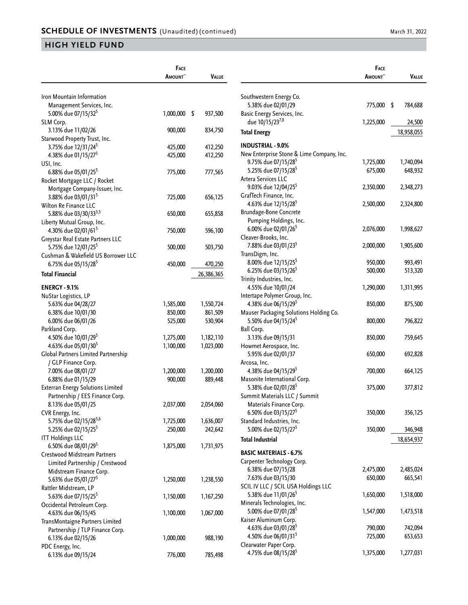|                                          | <b>FACE</b>        |                    |
|------------------------------------------|--------------------|--------------------|
|                                          | <b>A</b> MOUNT~    | VALUE              |
|                                          |                    |                    |
| Iron Mountain Information                |                    |                    |
| Management Services, Inc.                |                    |                    |
| 5.00% due 07/15/32 <sup>5</sup>          | 1,000,000          | \$<br>937,500      |
| SLM Corp.<br>3.13% due 11/02/26          | 900,000            | 834,750            |
| Starwood Property Trust, Inc.            |                    |                    |
| 3.75% due 12/31/24 <sup>5</sup>          | 425,000            | 412,250            |
| 4.38% due 01/15/27 <sup>5</sup>          | 425,000            | 412,250            |
| USI, Inc.                                |                    |                    |
| 6.88% due 05/01/25 <sup>5</sup>          | 775,000            | 777,565            |
| Rocket Mortgage LLC / Rocket             |                    |                    |
| Mortgage Company-Issuer, Inc.            |                    |                    |
| 3.88% due 03/01/31 <sup>5</sup>          | 725,000            | 656,125            |
| Wilton Re Finance LLC                    |                    |                    |
| 5.88% due 03/30/33 <sup>3,5</sup>        | 650,000            | 655,858            |
| Liberty Mutual Group, Inc.               |                    |                    |
| 4.30% due 02/01/61 <sup>5</sup>          | 750,000            | 596,100            |
| Greystar Real Estate Partners LLC        |                    |                    |
| 5.75% due 12/01/25 <sup>5</sup>          | 500,000            | 503,750            |
| Cushman & Wakefield US Borrower LLC      |                    |                    |
| 6.75% due 05/15/28 <sup>5</sup>          | 450,000            | 470,250            |
| Total Financial                          |                    | 26,386,365         |
|                                          |                    |                    |
| <b>ENERGY - 9.1%</b>                     |                    |                    |
| NuStar Logistics, LP                     |                    |                    |
| 5.63% due 04/28/27                       | 1,585,000          | 1,550,724          |
| 6.38% due 10/01/30<br>6.00% due 06/01/26 | 850,000<br>525,000 | 861,509<br>530,904 |
| Parkland Corp.                           |                    |                    |
| 4.50% due 10/01/29 <sup>5</sup>          | 1,275,000          | 1,182,110          |
| 4.63% due 05/01/30 <sup>5</sup>          | 1,100,000          | 1,023,000          |
| Global Partners Limited Partnership      |                    |                    |
| / GLP Finance Corp.                      |                    |                    |
| 7.00% due 08/01/27                       | 1,200,000          | 1,200,000          |
| 6.88% due 01/15/29                       | 900,000            | 889,448            |
| <b>Exterran Energy Solutions Limited</b> |                    |                    |
| Partnership / EES Finance Corp.          |                    |                    |
| 8.13% due 05/01/25                       | 2,037,000          | 2,054,060          |
| CVR Energy, Inc.                         |                    |                    |
| 5.75% due 02/15/28 <sup>5,6</sup>        | 1,725,000          | 1,636,007          |
| 5.25% due 02/15/25 <sup>5</sup>          | 250,000            | 242,642            |
| <b>ITT Holdings LLC</b>                  |                    |                    |
| 6.50% due 08/01/29 <sup>5</sup>          | 1,875,000          | 1,731,975          |
| Crestwood Midstream Partners             |                    |                    |
| Limited Partnership / Crestwood          |                    |                    |
| Midstream Finance Corp.                  |                    |                    |
| 5.63% due 05/01/27 <sup>5</sup>          | 1,250,000          | 1,238,550          |
| Rattler Midstream, LP                    |                    |                    |
| 5.63% due 07/15/25 <sup>5</sup>          | 1,150,000          | 1,167,250          |
| Occidental Petroleum Corp.               |                    |                    |
| 4.63% due 06/15/45                       | 1,100,000          | 1,067,000          |
| TransMontaigne Partners Limited          |                    |                    |
| Partnership / TLP Finance Corp.          |                    |                    |
| 6.13% due 02/15/26                       | 1,000,000          | 988,190            |
| PDC Energy, Inc.                         |                    |                    |
| 6.13% due 09/15/24                       | 776,000            | 785,498            |

|                                                                | <b>FACE</b>     |            |
|----------------------------------------------------------------|-----------------|------------|
|                                                                | <b>A</b> MOUNT~ | Value      |
|                                                                |                 |            |
| Southwestern Energy Co.<br>5.38% due 02/01/29                  | 775,000         | \$         |
| Basic Energy Services, Inc.                                    |                 | 784,688    |
| due 10/15/237,8                                                | 1,225,000       | 24,500     |
| <b>Total Energy</b>                                            |                 | 18,958,055 |
|                                                                |                 |            |
| INDUSTRIAL - 9.0%<br>New Enterprise Stone & Lime Company, Inc. |                 |            |
| 9.75% due 07/15/28 <sup>5</sup>                                | 1,725,000       | 1,740,094  |
| 5.25% due 07/15/28 <sup>5</sup>                                | 675,000         | 648,932    |
| Artera Services LLC                                            |                 |            |
| 9.03% due 12/04/25 <sup>5</sup>                                | 2,350,000       | 2,348,273  |
| GrafTech Finance, Inc.                                         |                 |            |
| 4.63% due 12/15/28 <sup>5</sup>                                | 2,500,000       | 2,324,800  |
| <b>Brundage-Bone Concrete</b><br>Pumping Holdings, Inc.        |                 |            |
| 6.00% due 02/01/26 <sup>5</sup>                                | 2,076,000       | 1,998,627  |
| Cleaver-Brooks, Inc.                                           |                 |            |
| 7.88% due 03/01/23 <sup>5</sup>                                | 2,000,000       | 1,905,600  |
| TransDigm, Inc.                                                |                 |            |
| 8.00% due 12/15/25 <sup>5</sup>                                | 950,000         | 993,491    |
| 6.25% due 03/15/26 <sup>5</sup>                                | 500,000         | 513,320    |
| Trinity Industries, Inc.<br>4.55% due 10/01/24                 | 1,290,000       | 1,311,995  |
| Intertape Polymer Group, Inc.                                  |                 |            |
| 4.38% due 06/15/29 <sup>5</sup>                                | 850,000         | 875,500    |
| Mauser Packaging Solutions Holding Co.                         |                 |            |
| 5.50% due 04/15/24 <sup>5</sup>                                | 800,000         | 796,822    |
| Ball Corp.                                                     |                 |            |
| 3.13% due 09/15/31                                             | 850,000         | 759,645    |
| Howmet Aerospace, Inc.<br>5.95% due 02/01/37                   | 650,000         | 692,828    |
| Arcosa, Inc.                                                   |                 |            |
| 4.38% due 04/15/29 <sup>5</sup>                                | 700,000         | 664,125    |
| Masonite International Corp.                                   |                 |            |
| 5.38% due 02/01/28 <sup>5</sup>                                | 375,000         | 377,812    |
| Summit Materials LLC / Summit                                  |                 |            |
| Materials Finance Corp.<br>6.50% due 03/15/27 <sup>5</sup>     |                 |            |
| Standard Industries, Inc.                                      | 350,000         | 356,125    |
| 5.00% due 02/15/27 <sup>5</sup>                                | 350,000         | 346,948    |
| <b>Total Industrial</b>                                        |                 | 18,654,937 |
|                                                                |                 |            |
| <b>BASIC MATERIALS - 6.7%</b><br>Carpenter Technology Corp.    |                 |            |
| 6.38% due 07/15/28                                             | 2,475,000       | 2,485,024  |
| 7.63% due 03/15/30                                             | 650,000         | 665,541    |
| SCIL IV LLC / SCIL USA Holdings LLC                            |                 |            |
| 5.38% due 11/01/26 <sup>5</sup>                                | 1,650,000       | 1,518,000  |
| Minerals Technologies, Inc.                                    |                 |            |
| 5.00% due 07/01/28 <sup>5</sup>                                | 1,547,000       | 1,473,518  |
| Kaiser Aluminum Corp.<br>4.63% due 03/01/28 <sup>5</sup>       | 790,000         | 742,094    |
| 4.50% due 06/01/31 <sup>5</sup>                                | 725,000         | 653,653    |
| Clearwater Paper Corp.                                         |                 |            |
| 4.75% due 08/15/28 <sup>5</sup>                                | 1,375,000       | 1,277,031  |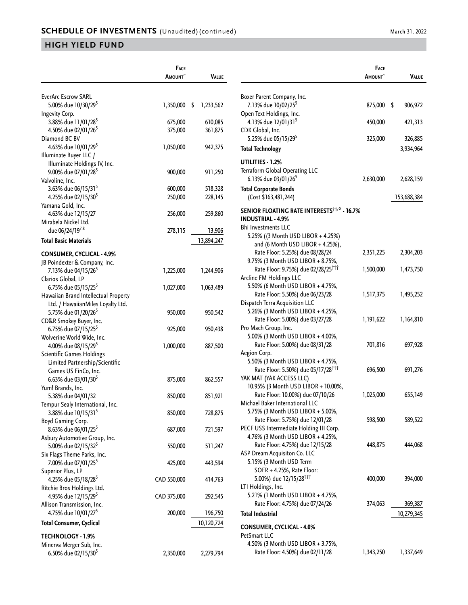|                                                               | FACE          |                 |                                                             | <b>FACE</b>   |             |
|---------------------------------------------------------------|---------------|-----------------|-------------------------------------------------------------|---------------|-------------|
|                                                               | <b>AMOUNT</b> | <b>VALUE</b>    |                                                             | <b>AMOUNT</b> | VALUE       |
| <b>EverArc Escrow SARL</b>                                    |               |                 | Boxer Parent Company, Inc.                                  |               |             |
| 5.00% due 10/30/29 <sup>5</sup><br>Ingevity Corp.             | 1,350,000     | 1,233,562<br>\$ | 7.13% due 10/02/25 <sup>5</sup><br>Open Text Holdings, Inc. | 875,000 \$    | 906,972     |
| 3.88% due 11/01/28 <sup>5</sup>                               | 675,000       | 610,085         | 4.13% due 12/01/31 <sup>5</sup>                             | 450,000       | 421,313     |
| 4.50% due 02/01/26 <sup>5</sup><br>Diamond BC BV              | 375,000       | 361,875         | CDK Global, Inc.<br>5.25% due 05/15/29 <sup>5</sup>         | 325,000       | 326,885     |
| 4.63% due 10/01/29 <sup>5</sup>                               | 1,050,000     | 942,375         | <b>Total Technology</b>                                     |               |             |
| Illuminate Buyer LLC /                                        |               |                 |                                                             |               | 3,934,964   |
| Illuminate Holdings IV, Inc.                                  |               |                 | UTILITIES - 1.2%                                            |               |             |
| 9.00% due 07/01/28 <sup>5</sup>                               | 900,000       | 911,250         | Terraform Global Operating LLC                              |               |             |
| Valvoline, Inc.                                               |               |                 | 6.13% due 03/01/26 <sup>5</sup>                             | 2,630,000     | 2,628,159   |
| 3.63% due 06/15/31 <sup>5</sup>                               | 600,000       | 518,328         | <b>Total Corporate Bonds</b>                                |               |             |
| 4.25% due 02/15/30 <sup>5</sup>                               | 250,000       | 228,145         | (Cost \$163,481,244)                                        |               | 153,688,384 |
| Yamana Gold, Inc.                                             |               |                 | SENIOR FLOATING RATE INTERESTS <sup>11, 0</sup> - 16.7%     |               |             |
| 4.63% due 12/15/27                                            | 256,000       | 259,860         | <b>INDUSTRIAL - 4.9%</b>                                    |               |             |
| Mirabela Nickel Ltd.                                          |               |                 | <b>Bhi Investments LLC</b>                                  |               |             |
| due 06/24/19 <sup>7,8</sup>                                   | 278,115       | 13,906          | 5.25% ((3 Month USD LIBOR + 4.25%)                          |               |             |
| <b>Total Basic Materials</b>                                  |               | 13,894,247      | and (6 Month USD LIBOR $+$ 4.25%),                          |               |             |
| <b>CONSUMER, CYCLICAL - 4.9%</b>                              |               |                 | Rate Floor: 5.25%) due 08/28/24                             | 2,351,225     | 2,304,203   |
| JB Poindexter & Company, Inc.                                 |               |                 | 9.75% (3 Month USD LIBOR + 8.75%,                           |               |             |
| 7.13% due 04/15/26 <sup>5</sup>                               | 1,225,000     | 1,244,906       | Rate Floor: 9.75%) due 02/28/25 <sup>111</sup>              | 1,500,000     | 1,473,750   |
| Clarios Global, LP                                            |               |                 | Arcline FM Holdings LLC                                     |               |             |
| 6.75% due 05/15/25 <sup>5</sup>                               | 1,027,000     | 1,063,489       | 5.50% (6 Month USD LIBOR + 4.75%,                           |               |             |
| Hawaiian Brand Intellectual Property                          |               |                 | Rate Floor: 5.50%) due 06/23/28                             | 1,517,375     | 1,495,252   |
| Ltd. / HawaiianMiles Loyalty Ltd.                             |               |                 | Dispatch Terra Acquisition LLC                              |               |             |
| 5.75% due 01/20/26 <sup>5</sup>                               | 950,000       | 950,542         | 5.26% (3 Month USD LIBOR + 4.25%,                           |               |             |
| CD&R Smokey Buyer, Inc.                                       |               |                 | Rate Floor: 5.00%) due 03/27/28                             | 1,191,622     | 1,164,810   |
| 6.75% due 07/15/25 <sup>5</sup>                               | 925,000       | 950,438         | Pro Mach Group, Inc.                                        |               |             |
| Wolverine World Wide, Inc.                                    |               |                 | 5.00% (3 Month USD LIBOR + 4.00%,                           |               |             |
| 4.00% due 08/15/29 <sup>5</sup>                               | 1,000,000     | 887,500         | Rate Floor: 5.00%) due 08/31/28                             | 701,816       | 697,928     |
| Scientific Games Holdings                                     |               |                 | Aegion Corp.                                                |               |             |
| Limited Partnership/Scientific                                |               |                 | 5.50% (3 Month USD LIBOR + 4.75%,                           |               |             |
| Games US FinCo, Inc.                                          |               |                 | Rate Floor: 5.50%) due 05/17/28 <sup>111</sup>              | 696,500       | 691,276     |
| 6.63% due 03/01/30 <sup>5</sup>                               | 875,000       | 862,557         | YAK MAT (YAK ACCESS LLC)                                    |               |             |
| Yum! Brands, Inc.                                             |               |                 | 10.95% (3 Month USD LIBOR + 10.00%,                         |               |             |
| 5.38% due 04/01/32                                            | 850,000       | 851,921         | Rate Floor: 10.00%) due 07/10/26                            | 1,025,000     | 655,149     |
| Tempur Sealy International, Inc.                              |               |                 | Michael Baker International LLC                             |               |             |
| 3.88% due 10/15/31 <sup>5</sup>                               | 850,000       | 728,875         | 5.75% (3 Month USD LIBOR + 5.00%,                           |               |             |
| Boyd Gaming Corp.                                             |               |                 | Rate Floor: 5.75%) due 12/01/28                             | 598,500       | 589,522     |
| 8.63% due 06/01/25 <sup>5</sup>                               | 687,000       | 721,597         | PECF USS Intermediate Holding III Corp.                     |               |             |
| Asbury Automotive Group, Inc.                                 |               |                 | 4.76% (3 Month USD LIBOR + 4.25%,                           |               |             |
| 5.00% due 02/15/32 <sup>5</sup>                               | 550,000       | 511,247         | Rate Floor: 4.75%) due 12/15/28                             | 448,875       | 444,068     |
| Six Flags Theme Parks, Inc.                                   |               |                 | ASP Dream Acquisiton Co. LLC                                |               |             |
| 7.00% due 07/01/25 <sup>5</sup>                               | 425,000       | 443,594         | 5.15% (3 Month USD Term<br>SOFR + 4.25%, Rate Floor:        |               |             |
| Superior Plus, LP                                             |               |                 | 5.00%) due 12/15/28 <sup>111</sup>                          | 400,000       | 394,000     |
| 4.25% due 05/18/28 <sup>5</sup>                               | CAD 550,000   | 414,763         | LTI Holdings, Inc.                                          |               |             |
| Ritchie Bros Holdings Ltd.                                    |               |                 | 5.21% (1 Month USD LIBOR + 4.75%,                           |               |             |
| 4.95% due 12/15/29 <sup>5</sup><br>Allison Transmission, Inc. | CAD 375,000   | 292,545         | Rate Floor: 4.75%) due 07/24/26                             | 374,063       | 369,387     |
| 4.75% due 10/01/27 <sup>5</sup>                               | 200,000       |                 |                                                             |               |             |
|                                                               |               | 196,750         | <b>Total Industrial</b>                                     |               | 10,279,345  |
| <b>Total Consumer, Cyclical</b>                               |               | 10,120,724      | <b>CONSUMER, CYCLICAL - 4.0%</b><br>PetSmart LLC            |               |             |
| <b>TECHNOLOGY - 1.9%</b>                                      |               |                 | 4.50% (3 Month USD LIBOR + 3.75%,                           |               |             |
| Minerva Merger Sub, Inc.                                      |               |                 | Rate Floor: 4.50%) due 02/11/28                             | 1,343,250     | 1,337,649   |
| 6.50% due 02/15/30 <sup>5</sup>                               | 2,350,000     | 2,279,794       |                                                             |               |             |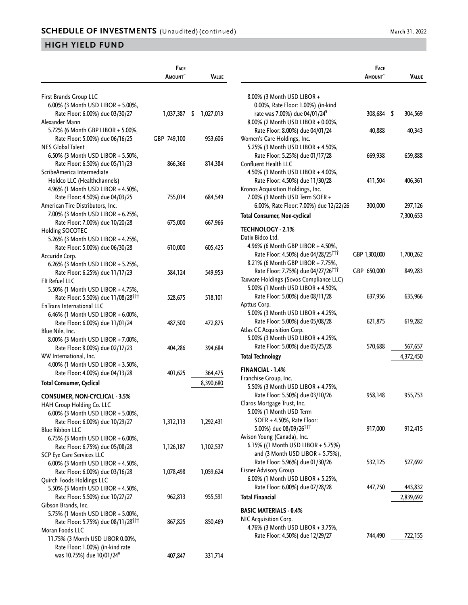|                                                | FACE<br><b>A</b> MOUNT~ | <b>VALUE</b> |                                                | <b>FACE</b><br><b>AMOUNT</b> | VALUE     |
|------------------------------------------------|-------------------------|--------------|------------------------------------------------|------------------------------|-----------|
| First Brands Group LLC                         |                         |              | 8.00% (3 Month USD LIBOR +                     |                              |           |
| 6.00% (3 Month USD LIBOR + 5.00%,              |                         |              | 0.00%, Rate Floor: 1.00%) (in-kind             |                              |           |
| Rate Floor: 6.00%) due 03/30/27                | $1,037,387$ \$          | 1,027,013    | rate was 7.00%) due 04/01/24 <sup>9</sup>      | 308,684 \$                   | 304,569   |
| Alexander Mann                                 |                         |              | 8.00% (2 Month USD LIBOR + 0.00%,              |                              |           |
| 5.72% (6 Month GBP LIBOR + 5.00%,              |                         |              | Rate Floor: 8.00%) due 04/01/24                | 40,888                       | 40,343    |
| Rate Floor: 5.00%) due 06/16/25                | GBP 749,100             | 953,606      | Women's Care Holdings, Inc.                    |                              |           |
| <b>NES Global Talent</b>                       |                         |              | 5.25% (3 Month USD LIBOR + 4.50%,              |                              |           |
| 6.50% (3 Month USD LIBOR + 5.50%,              |                         |              | Rate Floor: 5.25%) due 01/17/28                | 669,938                      | 659,888   |
| Rate Floor: 6.50%) due 05/11/23                | 866,366                 | 814,384      | Confluent Health LLC                           |                              |           |
| ScribeAmerica Intermediate                     |                         |              | 4.50% (3 Month USD LIBOR + 4.00%,              |                              |           |
| Holdco LLC (Healthchannels)                    |                         |              | Rate Floor: 4.50%) due 11/30/28                | 411,504                      | 406,361   |
| 4.96% (1 Month USD LIBOR + 4.50%,              |                         |              | Kronos Acquisition Holdings, Inc.              |                              |           |
| Rate Floor: 4.50%) due 04/03/25                | 755,014                 | 684,549      | 7.00% (3 Month USD Term SOFR +                 |                              |           |
| American Tire Distributors, Inc.               |                         |              | 6.00%, Rate Floor: 7.00%) due 12/22/26         | 300,000                      | 297,126   |
| 7.00% (3 Month USD LIBOR + 6.25%,              |                         |              | <b>Total Consumer, Non-cyclical</b>            |                              | 7,300,653 |
| Rate Floor: 7.00%) due 10/20/28                | 675,000                 | 667,966      |                                                |                              |           |
| Holding SOCOTEC                                |                         |              | <b>TECHNOLOGY - 2.1%</b>                       |                              |           |
| 5.26% (3 Month USD LIBOR + 4.25%,              |                         |              | Datix Bidco Ltd.                               |                              |           |
| Rate Floor: 5.00%) due 06/30/28                | 610,000                 | 605,425      | 4.96% (6 Month GBP LIBOR + 4.50%,              |                              |           |
| Accuride Corp.                                 |                         |              | Rate Floor: 4.50%) due 04/28/25 <sup>111</sup> | GBP 1,300,000                | 1,700,262 |
| 6.26% (3 Month USD LIBOR + 5.25%,              |                         |              | 8.21% (6 Month GBP LIBOR + 7.75%,              |                              |           |
| Rate Floor: 6.25%) due 11/17/23                | 584,124                 | 549,953      | Rate Floor: 7.75%) due 04/27/26 <sup>111</sup> | GBP 650,000                  | 849,283   |
| FR Refuel LLC                                  |                         |              | Taxware Holdings (Sovos Compliance LLC)        |                              |           |
| 5.50% (1 Month USD LIBOR + 4.75%,              |                         |              | 5.00% (1 Month USD LIBOR + 4.50%,              |                              |           |
| Rate Floor: 5.50%) due 11/08/28 <sup>111</sup> | 528,675                 | 518,101      | Rate Floor: 5.00%) due 08/11/28                | 637,956                      | 635,966   |
| EnTrans International LLC                      |                         |              | Apttus Corp.                                   |                              |           |
| 6.46% (1 Month USD LIBOR + 6.00%,              |                         |              | 5.00% (3 Month USD LIBOR + 4.25%,              |                              |           |
| Rate Floor: 6.00%) due 11/01/24                | 487,500                 | 472,875      | Rate Floor: 5.00%) due 05/08/28                | 621,875                      | 619,282   |
| Blue Nile, Inc.                                |                         |              | Atlas CC Acquisition Corp.                     |                              |           |
| 8.00% (3 Month USD LIBOR + 7.00%,              |                         |              | 5.00% (3 Month USD LIBOR + 4.25%,              |                              |           |
| Rate Floor: 8.00%) due 02/17/23                | 404,286                 | 394,684      | Rate Floor: 5.00%) due 05/25/28                | 570,688                      | 567,657   |
| WW International, Inc.                         |                         |              | <b>Total Technology</b>                        |                              | 4,372,450 |
| 4.00% (1 Month USD LIBOR + 3.50%,              |                         |              | FINANCIAL - 1.4%                               |                              |           |
| Rate Floor: 4.00%) due 04/13/28                | 401,625                 | 364,475      | Franchise Group, Inc.                          |                              |           |
| <b>Total Consumer, Cyclical</b>                |                         | 8,390,680    | 5.50% (3 Month USD LIBOR + 4.75%,              |                              |           |
| <b>CONSUMER, NON-CYCLICAL - 3.5%</b>           |                         |              | Rate Floor: 5.50%) due 03/10/26                | 958,148                      | 955,753   |
| HAH Group Holding Co. LLC                      |                         |              | Claros Mortgage Trust, Inc.                    |                              |           |
| 6.00% (3 Month USD LIBOR + 5.00%,              |                         |              | 5.00% (1 Month USD Term                        |                              |           |
| Rate Floor: 6.00%) due 10/29/27                | 1,312,113               | 1,292,431    | SOFR + 4.50%, Rate Floor:                      |                              |           |
| <b>Blue Ribbon LLC</b>                         |                         |              | 5.00%) due 08/09/26 <sup>111</sup>             | 917,000                      | 912,415   |
| 6.75% (3 Month USD LIBOR + 6.00%,              |                         |              | Avison Young (Canada), Inc.                    |                              |           |
| Rate Floor: 6.75%) due 05/08/28                | 1,126,187               | 1,102,537    | 6.15% ((1 Month USD LIBOR + 5.75%)             |                              |           |
| SCP Eye Care Services LLC                      |                         |              | and $(3$ Month USD LIBOR $+$ 5.75%),           |                              |           |
| 6.00% (3 Month USD LIBOR + 4.50%,              |                         |              | Rate Floor: 5.96%) due 01/30/26                | 532,125                      | 527,692   |
| Rate Floor: 6.00%) due 03/16/28                | 1,078,498               | 1,059,624    | <b>Eisner Advisory Group</b>                   |                              |           |
| Quirch Foods Holdings LLC                      |                         |              | 6.00% (1 Month USD LIBOR + 5.25%,              |                              |           |
| 5.50% (3 Month USD LIBOR + 4.50%,              |                         |              | Rate Floor: 6.00%) due 07/28/28                | 447,750                      | 443,832   |
| Rate Floor: 5.50%) due 10/27/27                | 962,813                 | 955,591      | <b>Total Financial</b>                         |                              | 2,839,692 |
| Gibson Brands, Inc.                            |                         |              |                                                |                              |           |
| 5.75% (1 Month USD LIBOR + 5.00%,              |                         |              | <b>BASIC MATERIALS - 0.4%</b>                  |                              |           |
| Rate Floor: 5.75%) due 08/11/28 <sup>111</sup> | 867,825                 | 850,469      | NIC Acquisition Corp.                          |                              |           |
| Moran Foods LLC                                |                         |              | 4.76% (3 Month USD LIBOR + 3.75%,              |                              |           |
| 11.75% (3 Month USD LIBOR 0.00%,               |                         |              | Rate Floor: 4.50%) due 12/29/27                | 744,490                      | 722,155   |
| Rate Floor: 1.00%) (in-kind rate               |                         |              |                                                |                              |           |
| was 10.75%) due 10/01/24 <sup>9</sup>          | 407,847                 | 331,714      |                                                |                              |           |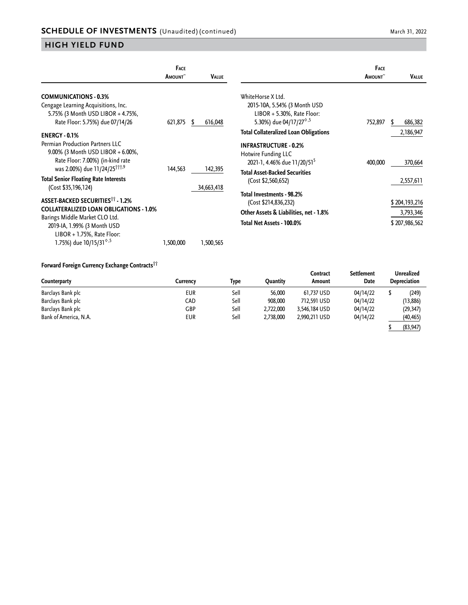|                                                                                                                 | <b>FACE</b><br><b>AMOUNT</b> | <b>VALUE</b>  |                                                                                                | <b>FACE</b><br>AMOUNT <sup>~</sup> | Value         |
|-----------------------------------------------------------------------------------------------------------------|------------------------------|---------------|------------------------------------------------------------------------------------------------|------------------------------------|---------------|
| <b>COMMUNICATIONS - 0.3%</b><br>Cengage Learning Acquisitions, Inc.                                             |                              |               | WhiteHorse X Ltd.<br>2015-10A, 5.54% (3 Month USD                                              |                                    |               |
| 5.75% (3 Month USD LIBOR + 4.75%,<br>Rate Floor: 5.75%) due 07/14/26                                            | 621,875                      | 616,048<br>S. | $LIBOR + 5.30\%$ , Rate Floor:<br>5.30%) due 04/17/27 <sup><math>\diamond</math>,5</sup>       | 752,897                            | 686,382<br>S. |
| <b>ENERGY - 0.1%</b>                                                                                            |                              |               | <b>Total Collateralized Loan Obligations</b>                                                   |                                    | 2,186,947     |
| <b>Permian Production Partners LLC</b><br>9.00% (3 Month USD LIBOR + 6.00%,<br>Rate Floor: 7.00%) (in-kind rate |                              |               | <b>INFRASTRUCTURE - 0.2%</b><br>Hotwire Funding LLC<br>2021-1, 4.46% due 11/20/51 <sup>5</sup> | 400,000                            | 370,664       |
| was 2.00%) due 11/24/25 <sup>†††,9</sup>                                                                        | 144,563                      | 142,395       | <b>Total Asset-Backed Securities</b>                                                           |                                    |               |
| <b>Total Senior Floating Rate Interests</b><br>(Cost \$35,196,124)                                              |                              | 34,663,418    | (Cost \$2,560,652)                                                                             |                                    | 2,557,611     |
| <b>ASSET-BACKED SECURITIES<sup>11</sup> - 1.2%</b>                                                              |                              |               | Total Investments - 98.2%<br>(Cost \$214,836,232)                                              |                                    | \$204,193,216 |
| <b>COLLATERALIZED LOAN OBLIGATIONS - 1.0%</b>                                                                   |                              |               | Other Assets & Liabilities, net - 1.8%                                                         |                                    | 3,793,346     |
| Barings Middle Market CLO Ltd.<br>2019-IA, 1.99% (3 Month USD<br>$LIBOR + 1.75\%$ , Rate Floor:                 |                              |               | Total Net Assets - 100.0%                                                                      |                                    | \$207,986,562 |
| 1.75%) due 10/15/31 <sup>6,5</sup>                                                                              | 1,500,000                    | 1,500,565     |                                                                                                |                                    |               |

#### **Forward Foreign Currency Exchange Contracts††**

| TUTWARD FUILIBIT CUTTERLY EXCHANGE CUTTLACIST<br>Counterparty | Currencv   | Type | Ouantity  | Contract<br>Amount | Settlement<br>Date | Unrealized<br><b>Depreciation</b> |           |
|---------------------------------------------------------------|------------|------|-----------|--------------------|--------------------|-----------------------------------|-----------|
| Barclays Bank plc                                             | <b>EUR</b> | Sell | 56,000    | 61.737 USD         | 04/14/22           |                                   | (249)     |
| Barclays Bank plc                                             | CAD        | Sell | 908,000   | 712,591 USD        | 04/14/22           |                                   | (13, 886) |
| Barclays Bank plc                                             | GBP        | Sell | 2,722,000 | 3.546.184 USD      | 04/14/22           |                                   | (29, 347) |
| Bank of America, N.A.                                         | <b>EUR</b> | Sell | 2,738,000 | 2.990.211 USD      | 04/14/22           |                                   | (40, 465) |
|                                                               |            |      |           |                    |                    |                                   | (83, 947) |